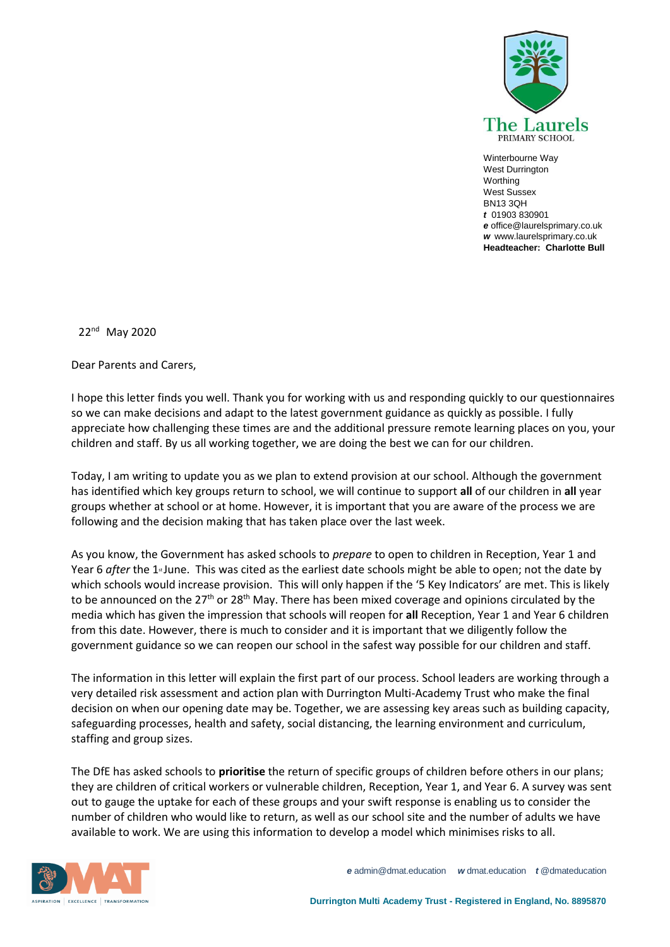

Winterbourne Way West Durrington Worthing West Sussex BN13 3QH *t* 01903 830901 *e* office@laurelsprimary.co.uk *w* www.laurelsprimary.co.uk **Headteacher: Charlotte Bull**

22nd May 2020

Dear Parents and Carers,

I hope this letter finds you well. Thank you for working with us and responding quickly to our questionnaires so we can make decisions and adapt to the latest government guidance as quickly as possible. I fully appreciate how challenging these times are and the additional pressure remote learning places on you, your children and staff. By us all working together, we are doing the best we can for our children.

Today, I am writing to update you as we plan to extend provision at our school. Although the government has identified which key groups return to school, we will continue to support **all** of our children in **all** year groups whether at school or at home. However, it is important that you are aware of the process we are following and the decision making that has taken place over the last week.

As you know, the Government has asked schools to *prepare* to open to children in Reception, Year 1 and Year 6 *after* the 1<sup>st</sup> June. This was cited as the earliest date schools might be able to open; not the date by which schools would increase provision. This will only happen if the '5 Key Indicators' are met. This is likely to be announced on the  $27<sup>th</sup>$  or  $28<sup>th</sup>$  May. There has been mixed coverage and opinions circulated by the media which has given the impression that schools will reopen for **all** Reception, Year 1 and Year 6 children from this date. However, there is much to consider and it is important that we diligently follow the government guidance so we can reopen our school in the safest way possible for our children and staff.

The information in this letter will explain the first part of our process. School leaders are working through a very detailed risk assessment and action plan with Durrington Multi-Academy Trust who make the final decision on when our opening date may be. Together, we are assessing key areas such as building capacity, safeguarding processes, health and safety, social distancing, the learning environment and curriculum, staffing and group sizes.

The DfE has asked schools to **prioritise** the return of specific groups of children before others in our plans; they are children of critical workers or vulnerable children, Reception, Year 1, and Year 6. A survey was sent out to gauge the uptake for each of these groups and your swift response is enabling us to consider the number of children who would like to return, as well as our school site and the number of adults we have available to work. We are using this information to develop a model which minimises risks to all.



*e* admin@dmat.education *w* dmat.education *t* @dmateducation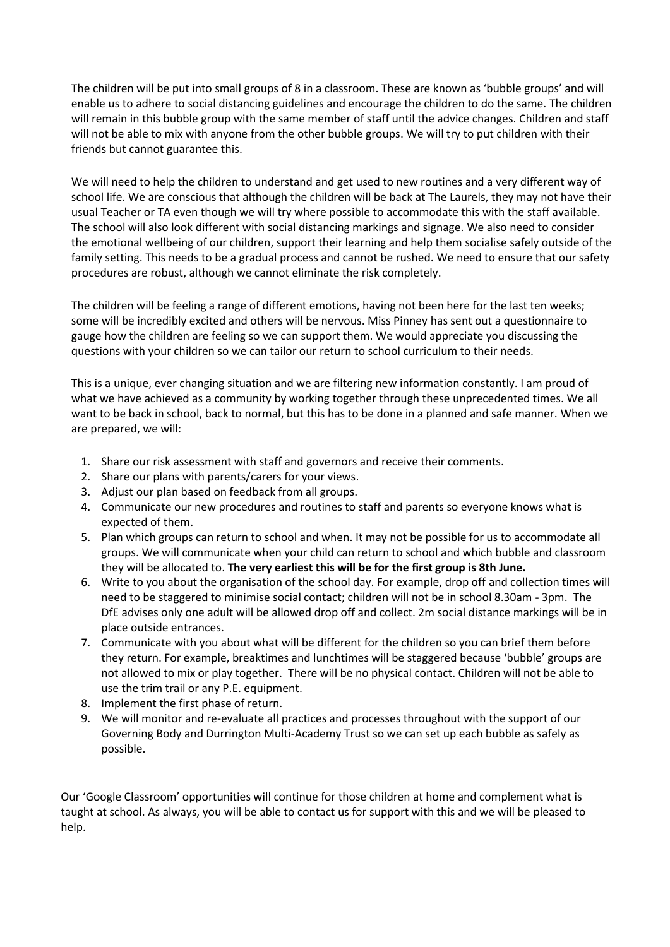The children will be put into small groups of 8 in a classroom. These are known as 'bubble groups' and will enable us to adhere to social distancing guidelines and encourage the children to do the same. The children will remain in this bubble group with the same member of staff until the advice changes. Children and staff will not be able to mix with anyone from the other bubble groups. We will try to put children with their friends but cannot guarantee this.

We will need to help the children to understand and get used to new routines and a very different way of school life. We are conscious that although the children will be back at The Laurels, they may not have their usual Teacher or TA even though we will try where possible to accommodate this with the staff available. The school will also look different with social distancing markings and signage. We also need to consider the emotional wellbeing of our children, support their learning and help them socialise safely outside of the family setting. This needs to be a gradual process and cannot be rushed. We need to ensure that our safety procedures are robust, although we cannot eliminate the risk completely.

The children will be feeling a range of different emotions, having not been here for the last ten weeks; some will be incredibly excited and others will be nervous. Miss Pinney has sent out a questionnaire to gauge how the children are feeling so we can support them. We would appreciate you discussing the questions with your children so we can tailor our return to school curriculum to their needs.

This is a unique, ever changing situation and we are filtering new information constantly. I am proud of what we have achieved as a community by working together through these unprecedented times. We all want to be back in school, back to normal, but this has to be done in a planned and safe manner. When we are prepared, we will:

- 1. Share our risk assessment with staff and governors and receive their comments.
- 2. Share our plans with parents/carers for your views.
- 3. Adjust our plan based on feedback from all groups.
- 4. Communicate our new procedures and routines to staff and parents so everyone knows what is expected of them.
- 5. Plan which groups can return to school and when. It may not be possible for us to accommodate all groups. We will communicate when your child can return to school and which bubble and classroom they will be allocated to. **The very earliest this will be for the first group is 8th June.**
- 6. Write to you about the organisation of the school day. For example, drop off and collection times will need to be staggered to minimise social contact; children will not be in school 8.30am - 3pm. The DfE advises only one adult will be allowed drop off and collect. 2m social distance markings will be in place outside entrances.
- 7. Communicate with you about what will be different for the children so you can brief them before they return. For example, breaktimes and lunchtimes will be staggered because 'bubble' groups are not allowed to mix or play together. There will be no physical contact. Children will not be able to use the trim trail or any P.E. equipment.
- 8. Implement the first phase of return.
- 9. We will monitor and re-evaluate all practices and processes throughout with the support of our Governing Body and Durrington Multi-Academy Trust so we can set up each bubble as safely as possible.

Our 'Google Classroom' opportunities will continue for those children at home and complement what is taught at school. As always, you will be able to contact us for support with this and we will be pleased to help.